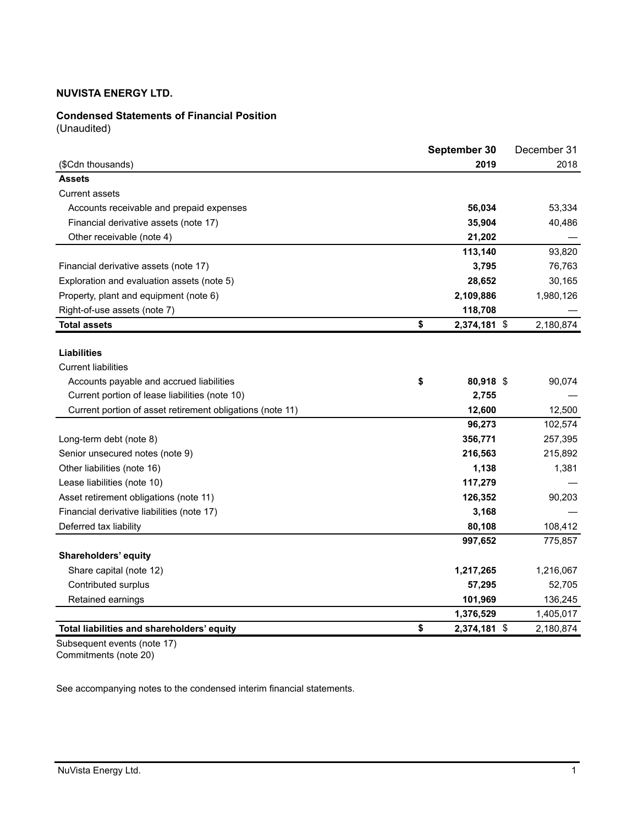## **Condensed Statements of Financial Position**

(Unaudited)

|                                                           | September 30       | December 31 |
|-----------------------------------------------------------|--------------------|-------------|
| (\$Cdn thousands)                                         | 2019               | 2018        |
| <b>Assets</b>                                             |                    |             |
| <b>Current assets</b>                                     |                    |             |
| Accounts receivable and prepaid expenses                  | 56,034             | 53,334      |
| Financial derivative assets (note 17)                     | 35,904             | 40,486      |
| Other receivable (note 4)                                 | 21,202             |             |
|                                                           | 113,140            | 93,820      |
| Financial derivative assets (note 17)                     | 3,795              | 76,763      |
| Exploration and evaluation assets (note 5)                | 28,652             | 30,165      |
| Property, plant and equipment (note 6)                    | 2,109,886          | 1,980,126   |
| Right-of-use assets (note 7)                              | 118,708            |             |
| <b>Total assets</b>                                       | \$<br>2,374,181 \$ | 2,180,874   |
|                                                           |                    |             |
| <b>Liabilities</b>                                        |                    |             |
| <b>Current liabilities</b>                                |                    |             |
| Accounts payable and accrued liabilities                  | \$<br>80,918 \$    | 90,074      |
| Current portion of lease liabilities (note 10)            | 2,755              |             |
| Current portion of asset retirement obligations (note 11) | 12,600             | 12,500      |
|                                                           | 96,273             | 102,574     |
| Long-term debt (note 8)                                   | 356,771            | 257,395     |
| Senior unsecured notes (note 9)                           | 216,563            | 215,892     |
| Other liabilities (note 16)                               | 1,138              | 1,381       |
| Lease liabilities (note 10)                               | 117,279            |             |
| Asset retirement obligations (note 11)                    | 126,352            | 90,203      |
| Financial derivative liabilities (note 17)                | 3,168              |             |
| Deferred tax liability                                    | 80,108             | 108,412     |
|                                                           | 997,652            | 775,857     |
| Shareholders' equity                                      |                    |             |
| Share capital (note 12)                                   | 1,217,265          | 1,216,067   |
| Contributed surplus                                       | 57,295             | 52,705      |
| Retained earnings                                         | 101,969            | 136,245     |
|                                                           | 1,376,529          | 1,405,017   |
| Total liabilities and shareholders' equity                | \$<br>2,374,181 \$ | 2,180,874   |

Subsequent events (note 17) Commitments (note 20)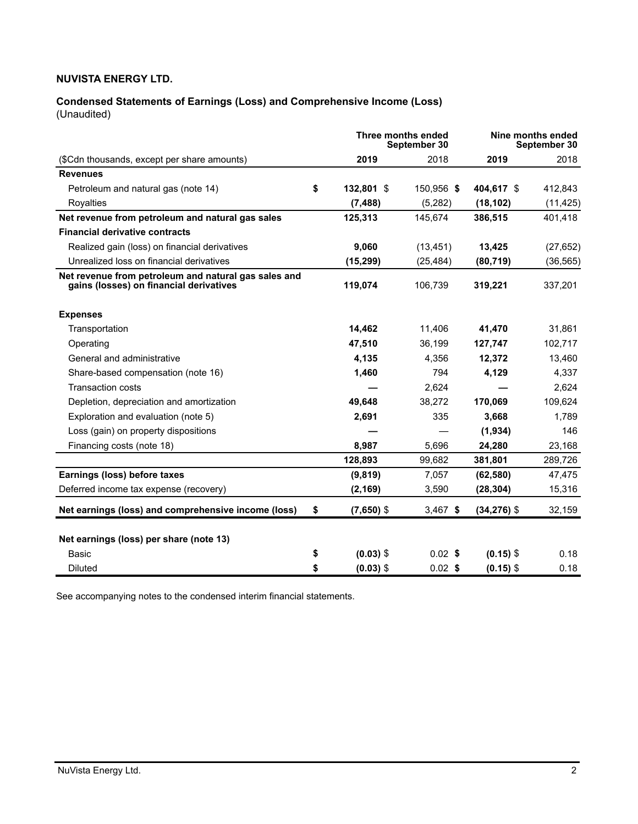## **Condensed Statements of Earnings (Loss) and Comprehensive Income (Loss)**  (Unaudited)

|                                                                                                 |    | Three months ended | September 30 |                | Nine months ended<br>September 30 |
|-------------------------------------------------------------------------------------------------|----|--------------------|--------------|----------------|-----------------------------------|
| (\$Cdn thousands, except per share amounts)                                                     |    | 2019               | 2018         | 2019           | 2018                              |
| <b>Revenues</b>                                                                                 |    |                    |              |                |                                   |
| Petroleum and natural gas (note 14)                                                             | \$ | 132,801 \$         | 150,956 \$   | 404.617 \$     | 412,843                           |
| Royalties                                                                                       |    | (7, 488)           | (5,282)      | (18, 102)      | (11, 425)                         |
| Net revenue from petroleum and natural gas sales                                                |    | 125,313            | 145,674      | 386,515        | 401,418                           |
| <b>Financial derivative contracts</b>                                                           |    |                    |              |                |                                   |
| Realized gain (loss) on financial derivatives                                                   |    | 9,060              | (13, 451)    | 13,425         | (27, 652)                         |
| Unrealized loss on financial derivatives                                                        |    | (15, 299)          | (25, 484)    | (80, 719)      | (36, 565)                         |
| Net revenue from petroleum and natural gas sales and<br>gains (losses) on financial derivatives |    | 119.074            | 106,739      | 319,221        | 337,201                           |
| <b>Expenses</b>                                                                                 |    |                    |              |                |                                   |
| Transportation                                                                                  |    | 14.462             | 11.406       | 41,470         | 31,861                            |
| Operating                                                                                       |    | 47,510             | 36,199       | 127,747        | 102,717                           |
| General and administrative                                                                      |    | 4,135              | 4,356        | 12,372         | 13,460                            |
| Share-based compensation (note 16)                                                              |    | 1,460              | 794          | 4,129          | 4,337                             |
| <b>Transaction costs</b>                                                                        |    |                    | 2.624        |                | 2,624                             |
| Depletion, depreciation and amortization                                                        |    | 49,648             | 38.272       | 170,069        | 109,624                           |
| Exploration and evaluation (note 5)                                                             |    | 2,691              | 335          | 3,668          | 1,789                             |
| Loss (gain) on property dispositions                                                            |    |                    |              | (1,934)        | 146                               |
| Financing costs (note 18)                                                                       |    | 8,987              | 5,696        | 24,280         | 23,168                            |
|                                                                                                 |    | 128,893            | 99,682       | 381,801        | 289,726                           |
| Earnings (loss) before taxes                                                                    |    | (9, 819)           | 7,057        | (62, 580)      | 47,475                            |
| Deferred income tax expense (recovery)                                                          |    | (2, 169)           | 3,590        | (28, 304)      | 15,316                            |
| Net earnings (loss) and comprehensive income (loss)                                             | \$ | $(7,650)$ \$       | $3,467$ \$   | $(34, 276)$ \$ | 32,159                            |
| Net earnings (loss) per share (note 13)                                                         |    |                    |              |                |                                   |
| Basic                                                                                           | \$ | $(0.03)$ \$        | $0.02$ \$    | $(0.15)$ \$    | 0.18                              |
| Diluted                                                                                         | \$ | $(0.03)$ \$        | $0.02$ \$    | $(0.15)$ \$    | 0.18                              |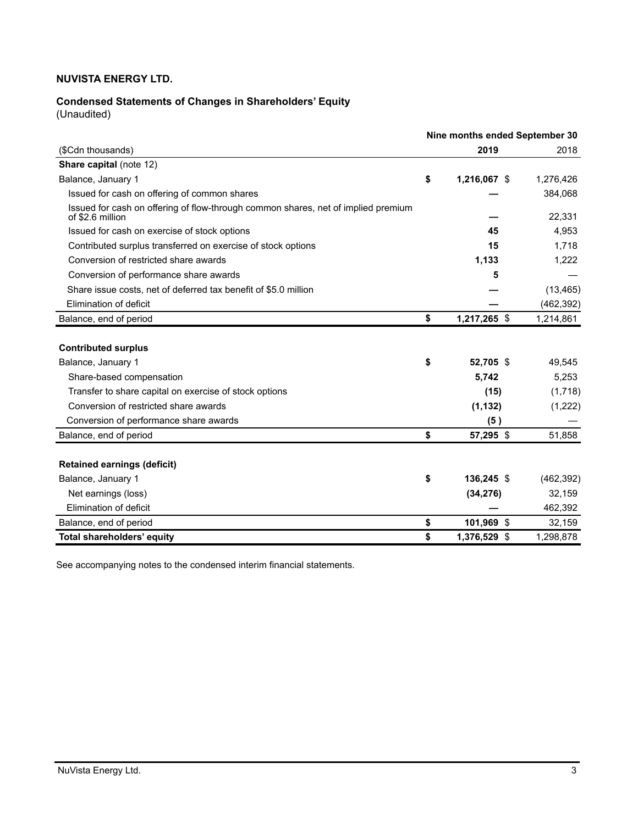# **Condensed Statements of Changes in Shareholders' Equity**

(Unaudited)

|                                                                                                       | Nine months ended September 30 |              |            |  |  |
|-------------------------------------------------------------------------------------------------------|--------------------------------|--------------|------------|--|--|
| (\$Cdn thousands)                                                                                     |                                | 2019         | 2018       |  |  |
| <b>Share capital (note 12)</b>                                                                        |                                |              |            |  |  |
| Balance, January 1                                                                                    | \$                             | 1,216,067 \$ | 1,276,426  |  |  |
| Issued for cash on offering of common shares                                                          |                                |              | 384,068    |  |  |
| Issued for cash on offering of flow-through common shares, net of implied premium<br>of \$2.6 million |                                |              | 22,331     |  |  |
| Issued for cash on exercise of stock options                                                          |                                | 45           | 4,953      |  |  |
| Contributed surplus transferred on exercise of stock options                                          |                                | 15           | 1,718      |  |  |
| Conversion of restricted share awards                                                                 |                                | 1,133        | 1,222      |  |  |
| Conversion of performance share awards                                                                |                                | 5            |            |  |  |
| Share issue costs, net of deferred tax benefit of \$5.0 million                                       |                                |              | (13, 465)  |  |  |
| Elimination of deficit                                                                                |                                |              | (462, 392) |  |  |
| Balance, end of period                                                                                | \$                             | 1,217,265 \$ | 1,214,861  |  |  |
| <b>Contributed surplus</b>                                                                            |                                |              |            |  |  |
| Balance, January 1                                                                                    | \$                             | 52,705 \$    | 49,545     |  |  |
| Share-based compensation                                                                              |                                | 5,742        | 5,253      |  |  |
| Transfer to share capital on exercise of stock options                                                |                                | (15)         | (1,718)    |  |  |
| Conversion of restricted share awards                                                                 |                                | (1, 132)     | (1,222)    |  |  |
| Conversion of performance share awards                                                                |                                | (5)          |            |  |  |
| Balance, end of period                                                                                | \$                             | 57,295 \$    | 51,858     |  |  |
|                                                                                                       |                                |              |            |  |  |
| <b>Retained earnings (deficit)</b>                                                                    |                                | 136.245 \$   |            |  |  |
| Balance, January 1                                                                                    | \$                             |              | (462, 392) |  |  |
| Net earnings (loss)                                                                                   |                                | (34, 276)    | 32,159     |  |  |
| Elimination of deficit                                                                                |                                |              | 462,392    |  |  |
| Balance, end of period                                                                                | \$                             | 101,969 \$   | 32,159     |  |  |
| Total shareholders' equity                                                                            | \$                             | 1,376,529 \$ | 1,298,878  |  |  |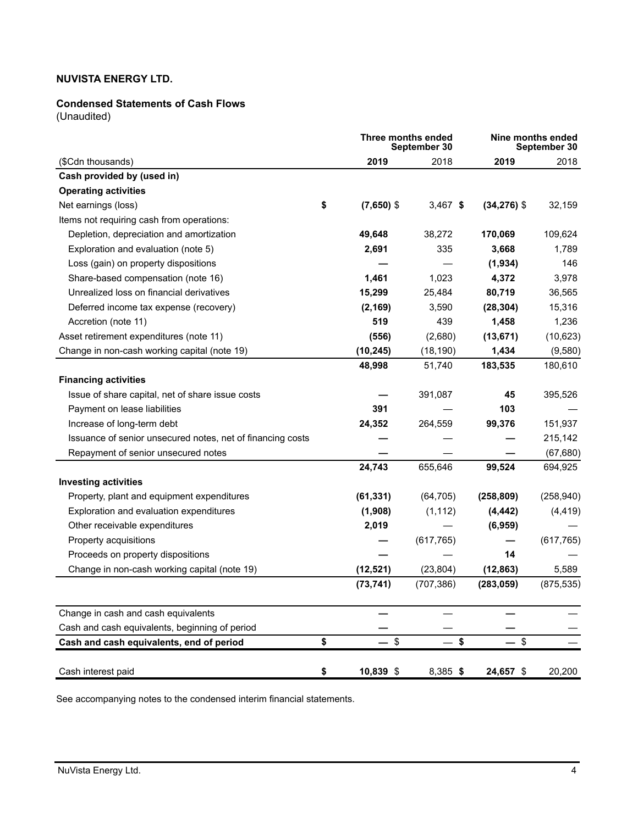## **Condensed Statements of Cash Flows**

(Unaudited)

|                                                            | <b>Three months ended</b><br>September 30 |              |            | Nine months ended<br>September 30 |            |  |  |
|------------------------------------------------------------|-------------------------------------------|--------------|------------|-----------------------------------|------------|--|--|
| (\$Cdn thousands)                                          |                                           | 2019         | 2018       | 2019                              | 2018       |  |  |
| Cash provided by (used in)                                 |                                           |              |            |                                   |            |  |  |
| <b>Operating activities</b>                                |                                           |              |            |                                   |            |  |  |
| Net earnings (loss)                                        | \$                                        | $(7,650)$ \$ | $3,467$ \$ | $(34,276)$ \$                     | 32,159     |  |  |
| Items not requiring cash from operations:                  |                                           |              |            |                                   |            |  |  |
| Depletion, depreciation and amortization                   |                                           | 49,648       | 38,272     | 170,069                           | 109,624    |  |  |
| Exploration and evaluation (note 5)                        |                                           | 2,691        | 335        | 3,668                             | 1,789      |  |  |
| Loss (gain) on property dispositions                       |                                           |              |            | (1,934)                           | 146        |  |  |
| Share-based compensation (note 16)                         |                                           | 1,461        | 1,023      | 4,372                             | 3,978      |  |  |
| Unrealized loss on financial derivatives                   |                                           | 15,299       | 25,484     | 80,719                            | 36,565     |  |  |
| Deferred income tax expense (recovery)                     |                                           | (2, 169)     | 3,590      | (28, 304)                         | 15,316     |  |  |
| Accretion (note 11)                                        |                                           | 519          | 439        | 1,458                             | 1,236      |  |  |
| Asset retirement expenditures (note 11)                    |                                           | (556)        | (2,680)    | (13, 671)                         | (10,623)   |  |  |
| Change in non-cash working capital (note 19)               |                                           | (10, 245)    | (18, 190)  | 1,434                             | (9,580)    |  |  |
|                                                            |                                           | 48,998       | 51,740     | 183,535                           | 180,610    |  |  |
| <b>Financing activities</b>                                |                                           |              |            |                                   |            |  |  |
| Issue of share capital, net of share issue costs           |                                           |              | 391,087    | 45                                | 395,526    |  |  |
| Payment on lease liabilities                               |                                           | 391          |            | 103                               |            |  |  |
| Increase of long-term debt                                 |                                           | 24,352       | 264,559    | 99,376                            | 151,937    |  |  |
| Issuance of senior unsecured notes, net of financing costs |                                           |              |            |                                   | 215,142    |  |  |
| Repayment of senior unsecured notes                        |                                           |              |            |                                   | (67, 680)  |  |  |
|                                                            |                                           | 24,743       | 655,646    | 99,524                            | 694,925    |  |  |
| <b>Investing activities</b>                                |                                           |              |            |                                   |            |  |  |
| Property, plant and equipment expenditures                 |                                           | (61, 331)    | (64, 705)  | (258, 809)                        | (258, 940) |  |  |
| Exploration and evaluation expenditures                    |                                           | (1,908)      | (1, 112)   | (4, 442)                          | (4, 419)   |  |  |
| Other receivable expenditures                              |                                           | 2,019        |            | (6,959)                           |            |  |  |
| Property acquisitions                                      |                                           |              | (617, 765) |                                   | (617, 765) |  |  |
| Proceeds on property dispositions                          |                                           |              |            | 14                                |            |  |  |
| Change in non-cash working capital (note 19)               |                                           | (12, 521)    | (23, 804)  | (12, 863)                         | 5,589      |  |  |
|                                                            |                                           | (73, 741)    | (707, 386) | (283, 059)                        | (875, 535) |  |  |
| Change in cash and cash equivalents                        |                                           |              |            |                                   |            |  |  |
| Cash and cash equivalents, beginning of period             |                                           |              |            |                                   |            |  |  |
| Cash and cash equivalents, end of period                   | \$                                        | - \$         | - \$       | - \$                              |            |  |  |
| Cash interest paid                                         | \$                                        | 10,839 \$    | 8,385 \$   | 24,657 \$                         | 20,200     |  |  |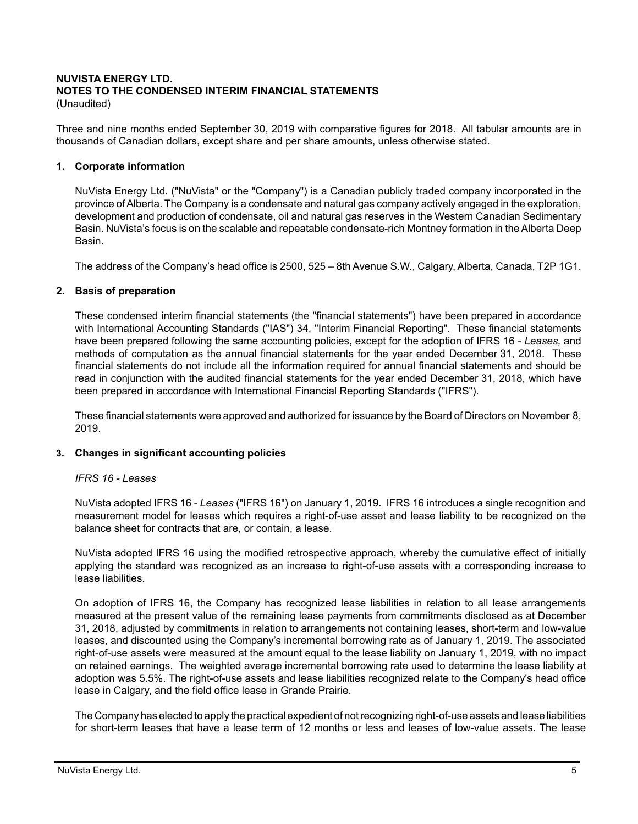# **NUVISTA ENERGY LTD. NOTES TO THE CONDENSED INTERIM FINANCIAL STATEMENTS**

(Unaudited)

Three and nine months ended September 30, 2019 with comparative figures for 2018. All tabular amounts are in thousands of Canadian dollars, except share and per share amounts, unless otherwise stated.

## **1. Corporate information**

NuVista Energy Ltd. ("NuVista" or the "Company") is a Canadian publicly traded company incorporated in the province of Alberta. The Company is a condensate and natural gas company actively engaged in the exploration, development and production of condensate, oil and natural gas reserves in the Western Canadian Sedimentary Basin. NuVista's focus is on the scalable and repeatable condensate-rich Montney formation in the Alberta Deep Basin.

The address of the Company's head office is 2500, 525 – 8th Avenue S.W., Calgary, Alberta, Canada, T2P 1G1.

## **2. Basis of preparation**

These condensed interim financial statements (the "financial statements") have been prepared in accordance with International Accounting Standards ("IAS") 34, "Interim Financial Reporting". These financial statements have been prepared following the same accounting policies, except for the adoption of IFRS 16 - *Leases,* and methods of computation as the annual financial statements for the year ended December 31, 2018. These financial statements do not include all the information required for annual financial statements and should be read in conjunction with the audited financial statements for the year ended December 31, 2018, which have been prepared in accordance with International Financial Reporting Standards ("IFRS").

These financial statements were approved and authorized for issuance by the Board of Directors on November 8, 2019.

## **3. Changes in significant accounting policies**

## *IFRS 16 - Leases*

NuVista adopted IFRS 16 - *Leases* ("IFRS 16") on January 1, 2019. IFRS 16 introduces a single recognition and measurement model for leases which requires a right-of-use asset and lease liability to be recognized on the balance sheet for contracts that are, or contain, a lease.

NuVista adopted IFRS 16 using the modified retrospective approach, whereby the cumulative effect of initially applying the standard was recognized as an increase to right-of-use assets with a corresponding increase to lease liabilities.

On adoption of IFRS 16, the Company has recognized lease liabilities in relation to all lease arrangements measured at the present value of the remaining lease payments from commitments disclosed as at December 31, 2018, adjusted by commitments in relation to arrangements not containing leases, short-term and low-value leases, and discounted using the Company's incremental borrowing rate as of January 1, 2019. The associated right-of-use assets were measured at the amount equal to the lease liability on January 1, 2019, with no impact on retained earnings. The weighted average incremental borrowing rate used to determine the lease liability at adoption was 5.5%. The right-of-use assets and lease liabilities recognized relate to the Company's head office lease in Calgary, and the field office lease in Grande Prairie.

The Company has elected to apply the practical expedient of not recognizing right-of-use assets and lease liabilities for short-term leases that have a lease term of 12 months or less and leases of low-value assets. The lease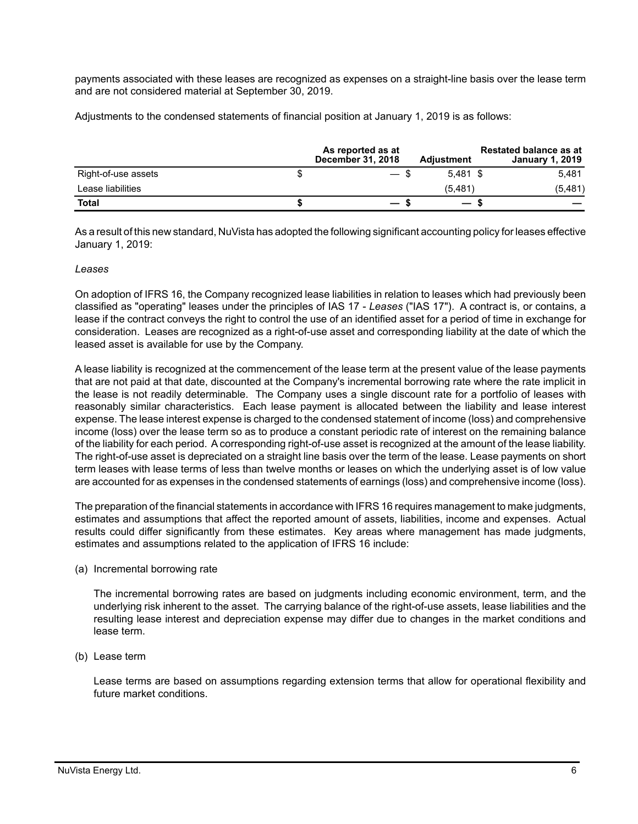payments associated with these leases are recognized as expenses on a straight-line basis over the lease term and are not considered material at September 30, 2019.

Adjustments to the condensed statements of financial position at January 1, 2019 is as follows:

|                     | As reported as at<br><b>December 31, 2018</b> | <b>Adiustment</b>        | <b>Restated balance as at</b><br><b>January 1, 2019</b> |
|---------------------|-----------------------------------------------|--------------------------|---------------------------------------------------------|
| Right-of-use assets | — ა                                           | $5.481$ \$               | 5.481                                                   |
| Lease liabilities   |                                               | (5, 481)                 | (5,481)                                                 |
| Total               |                                               | $\overline{\phantom{0}}$ |                                                         |

As a result of this new standard, NuVista has adopted the following significant accounting policy for leases effective January 1, 2019:

#### *Leases*

On adoption of IFRS 16, the Company recognized lease liabilities in relation to leases which had previously been classified as "operating" leases under the principles of IAS 17 - *Leases* ("IAS 17"). A contract is, or contains, a lease if the contract conveys the right to control the use of an identified asset for a period of time in exchange for consideration. Leases are recognized as a right-of-use asset and corresponding liability at the date of which the leased asset is available for use by the Company.

A lease liability is recognized at the commencement of the lease term at the present value of the lease payments that are not paid at that date, discounted at the Company's incremental borrowing rate where the rate implicit in the lease is not readily determinable. The Company uses a single discount rate for a portfolio of leases with reasonably similar characteristics. Each lease payment is allocated between the liability and lease interest expense. The lease interest expense is charged to the condensed statement of income (loss) and comprehensive income (loss) over the lease term so as to produce a constant periodic rate of interest on the remaining balance of the liability for each period. A corresponding right-of-use asset is recognized at the amount of the lease liability. The right-of-use asset is depreciated on a straight line basis over the term of the lease. Lease payments on short term leases with lease terms of less than twelve months or leases on which the underlying asset is of low value are accounted for as expenses in the condensed statements of earnings (loss) and comprehensive income (loss).

The preparation of the financial statements in accordance with IFRS 16 requires management to make judgments, estimates and assumptions that affect the reported amount of assets, liabilities, income and expenses. Actual results could differ significantly from these estimates. Key areas where management has made judgments, estimates and assumptions related to the application of IFRS 16 include:

(a) Incremental borrowing rate

The incremental borrowing rates are based on judgments including economic environment, term, and the underlying risk inherent to the asset. The carrying balance of the right-of-use assets, lease liabilities and the resulting lease interest and depreciation expense may differ due to changes in the market conditions and lease term.

(b) Lease term

Lease terms are based on assumptions regarding extension terms that allow for operational flexibility and future market conditions.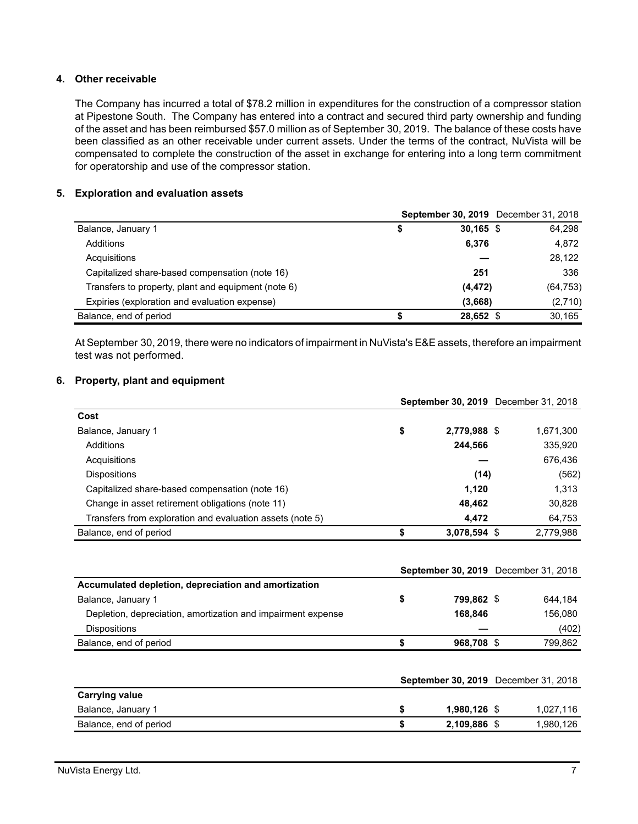## **4. Other receivable**

The Company has incurred a total of \$78.2 million in expenditures for the construction of a compressor station at Pipestone South. The Company has entered into a contract and secured third party ownership and funding of the asset and has been reimbursed \$57.0 million as of September 30, 2019. The balance of these costs have been classified as an other receivable under current assets. Under the terms of the contract, NuVista will be compensated to complete the construction of the asset in exchange for entering into a long term commitment for operatorship and use of the compressor station.

## **5. Exploration and evaluation assets**

|                                                     |                   | <b>September 30, 2019</b> December 31, 2018 |
|-----------------------------------------------------|-------------------|---------------------------------------------|
| Balance, January 1                                  | \$<br>$30,165$ \$ | 64,298                                      |
| Additions                                           | 6,376             | 4,872                                       |
| Acquisitions                                        |                   | 28,122                                      |
| Capitalized share-based compensation (note 16)      | 251               | 336                                         |
| Transfers to property, plant and equipment (note 6) | (4, 472)          | (64, 753)                                   |
| Expiries (exploration and evaluation expense)       | (3,668)           | (2,710)                                     |
| Balance, end of period                              | 28,652 \$         | 30.165                                      |

At September 30, 2019, there were no indicators of impairment in NuVista's E&E assets, therefore an impairment test was not performed.

## **6. Property, plant and equipment**

|                                                           |    | <b>September 30, 2019</b> December 31, 2018 |           |  |
|-----------------------------------------------------------|----|---------------------------------------------|-----------|--|
| Cost                                                      |    |                                             |           |  |
| Balance, January 1                                        | \$ | 2,779,988 \$                                | 1,671,300 |  |
| Additions                                                 |    | 244,566                                     | 335,920   |  |
| Acquisitions                                              |    |                                             | 676,436   |  |
| <b>Dispositions</b>                                       |    | (14)                                        | (562)     |  |
| Capitalized share-based compensation (note 16)            |    | 1.120                                       | 1,313     |  |
| Change in asset retirement obligations (note 11)          |    | 48,462                                      | 30,828    |  |
| Transfers from exploration and evaluation assets (note 5) |    | 4.472                                       | 64,753    |  |
| Balance, end of period                                    |    | 3,078,594 \$                                | 2,779,988 |  |

|                                                              |            | September 30, 2019 December 31, 2018 |
|--------------------------------------------------------------|------------|--------------------------------------|
| Accumulated depletion, depreciation and amortization         |            |                                      |
| Balance, January 1                                           | 799.862 \$ | 644.184                              |
| Depletion, depreciation, amortization and impairment expense | 168.846    | 156.080                              |
| <b>Dispositions</b>                                          |            | (402)                                |
| Balance, end of period                                       | 968.708 \$ | 799.862                              |

|                        |                | <b>September 30, 2019</b> December 31, 2018 |
|------------------------|----------------|---------------------------------------------|
| <b>Carrying value</b>  |                |                                             |
| Balance, January 1     | $1.980.126$ \$ | 1,027,116                                   |
| Balance, end of period | 2,109,886 \$   | 1.980.126                                   |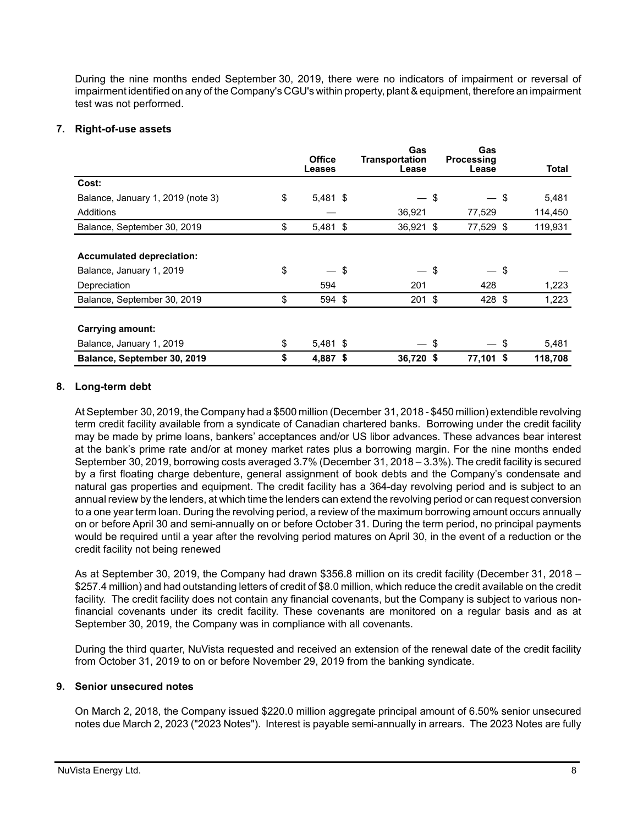During the nine months ended September 30, 2019, there were no indicators of impairment or reversal of impairment identified on any of the Company's CGU's within property, plant & equipment, therefore an impairment test was not performed.

## **7. Right-of-use assets**

|                                   | <b>Office</b>    |     | Gas<br><b>Transportation</b> | Gas<br>Processing |    |              |
|-----------------------------------|------------------|-----|------------------------------|-------------------|----|--------------|
|                                   | Leases           |     | Lease                        | Lease             |    | <b>Total</b> |
| Cost:                             |                  |     |                              |                   |    |              |
| Balance, January 1, 2019 (note 3) | \$<br>5,481 \$   |     |                              | \$                | \$ | 5,481        |
| Additions                         |                  |     | 36,921                       | 77,529            |    | 114,450      |
| Balance, September 30, 2019       | \$<br>$5,481$ \$ |     | 36,921 \$                    | 77,529 \$         |    | 119,931      |
|                                   |                  |     |                              |                   |    |              |
| <b>Accumulated depreciation:</b>  |                  |     |                              |                   |    |              |
| Balance, January 1, 2019          | \$               | -\$ |                              | \$                | S  |              |
| Depreciation                      | 594              |     | 201                          | 428               |    | 1,223        |
| Balance, September 30, 2019       | \$<br>594 \$     |     | $201$ \$                     | 428 \$            |    | 1,223        |
|                                   |                  |     |                              |                   |    |              |
| Carrying amount:                  |                  |     |                              |                   |    |              |
| Balance, January 1, 2019          | \$<br>$5,481$ \$ |     | — \$                         | — \$              |    | 5,481        |
| Balance, September 30, 2019       | \$<br>4,887 \$   |     | 36,720 \$                    | 77,101 \$         |    | 118,708      |

## **8. Long-term debt**

At September 30, 2019, the Company had a \$500 million (December 31, 2018 - \$450 million) extendible revolving term credit facility available from a syndicate of Canadian chartered banks. Borrowing under the credit facility may be made by prime loans, bankers' acceptances and/or US libor advances. These advances bear interest at the bank's prime rate and/or at money market rates plus a borrowing margin. For the nine months ended September 30, 2019, borrowing costs averaged 3.7% (December 31, 2018 – 3.3%). The credit facility is secured by a first floating charge debenture, general assignment of book debts and the Company's condensate and natural gas properties and equipment. The credit facility has a 364-day revolving period and is subject to an annual review by the lenders, at which time the lenders can extend the revolving period or can request conversion to a one year term loan. During the revolving period, a review of the maximum borrowing amount occurs annually on or before April 30 and semi-annually on or before October 31. During the term period, no principal payments would be required until a year after the revolving period matures on April 30, in the event of a reduction or the credit facility not being renewed

As at September 30, 2019, the Company had drawn \$356.8 million on its credit facility (December 31, 2018 – \$257.4 million) and had outstanding letters of credit of \$8.0 million, which reduce the credit available on the credit facility. The credit facility does not contain any financial covenants, but the Company is subject to various nonfinancial covenants under its credit facility. These covenants are monitored on a regular basis and as at September 30, 2019, the Company was in compliance with all covenants.

During the third quarter, NuVista requested and received an extension of the renewal date of the credit facility from October 31, 2019 to on or before November 29, 2019 from the banking syndicate.

## **9. Senior unsecured notes**

On March 2, 2018, the Company issued \$220.0 million aggregate principal amount of 6.50% senior unsecured notes due March 2, 2023 ("2023 Notes"). Interest is payable semi-annually in arrears. The 2023 Notes are fully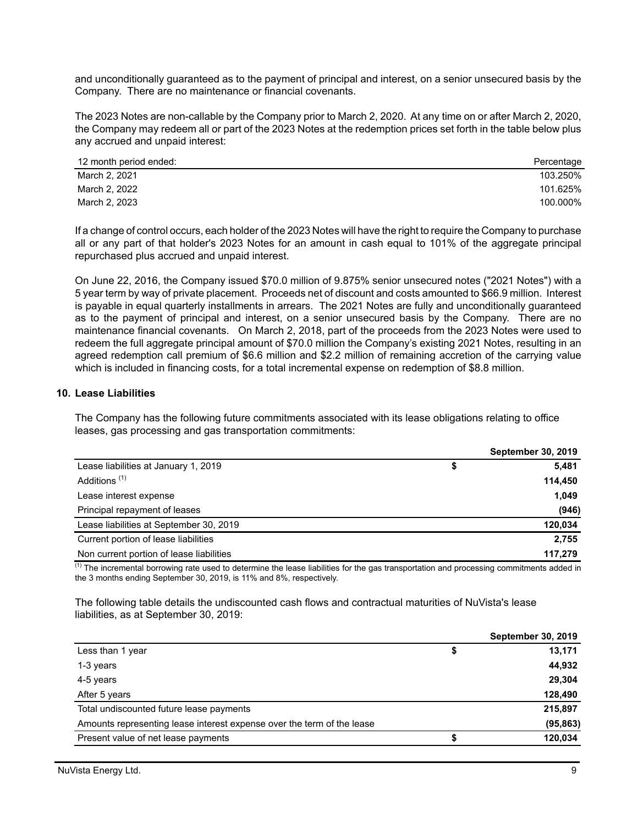and unconditionally guaranteed as to the payment of principal and interest, on a senior unsecured basis by the Company. There are no maintenance or financial covenants.

The 2023 Notes are non-callable by the Company prior to March 2, 2020. At any time on or after March 2, 2020, the Company may redeem all or part of the 2023 Notes at the redemption prices set forth in the table below plus any accrued and unpaid interest:

| 12 month period ended: | Percentage |
|------------------------|------------|
| March 2, 2021          | 103.250%   |
| March 2, 2022          | 101.625%   |
| March 2, 2023          | 100.000%   |

If a change of control occurs, each holder of the 2023 Notes will have the right to require the Company to purchase all or any part of that holder's 2023 Notes for an amount in cash equal to 101% of the aggregate principal repurchased plus accrued and unpaid interest.

On June 22, 2016, the Company issued \$70.0 million of 9.875% senior unsecured notes ("2021 Notes") with a 5 year term by way of private placement. Proceeds net of discount and costs amounted to \$66.9 million. Interest is payable in equal quarterly installments in arrears. The 2021 Notes are fully and unconditionally guaranteed as to the payment of principal and interest, on a senior unsecured basis by the Company. There are no maintenance financial covenants. On March 2, 2018, part of the proceeds from the 2023 Notes were used to redeem the full aggregate principal amount of \$70.0 million the Company's existing 2021 Notes, resulting in an agreed redemption call premium of \$6.6 million and \$2.2 million of remaining accretion of the carrying value which is included in financing costs, for a total incremental expense on redemption of \$8.8 million.

#### **10. Lease Liabilities**

The Company has the following future commitments associated with its lease obligations relating to office leases, gas processing and gas transportation commitments:

|                                          | <b>September 30, 2019</b> |         |  |  |  |
|------------------------------------------|---------------------------|---------|--|--|--|
| Lease liabilities at January 1, 2019     | \$                        | 5,481   |  |  |  |
| Additions <sup>(1)</sup>                 |                           | 114,450 |  |  |  |
| Lease interest expense                   |                           | 1,049   |  |  |  |
| Principal repayment of leases            |                           | (946)   |  |  |  |
| Lease liabilities at September 30, 2019  |                           | 120,034 |  |  |  |
| Current portion of lease liabilities     |                           | 2,755   |  |  |  |
| Non current portion of lease liabilities |                           | 117.279 |  |  |  |

 $<sup>(1)</sup>$  The incremental borrowing rate used to determine the lease liabilities for the gas transportation and processing commitments added in</sup> the 3 months ending September 30, 2019, is 11% and 8%, respectively.

The following table details the undiscounted cash flows and contractual maturities of NuVista's lease liabilities, as at September 30, 2019:

|                                                                        | <b>September 30, 2019</b> |
|------------------------------------------------------------------------|---------------------------|
| Less than 1 year                                                       | \$<br>13,171              |
| 1-3 years                                                              | 44,932                    |
| 4-5 years                                                              | 29,304                    |
| After 5 years                                                          | 128,490                   |
| Total undiscounted future lease payments                               | 215,897                   |
| Amounts representing lease interest expense over the term of the lease | (95, 863)                 |
| Present value of net lease payments                                    | 120,034                   |
|                                                                        |                           |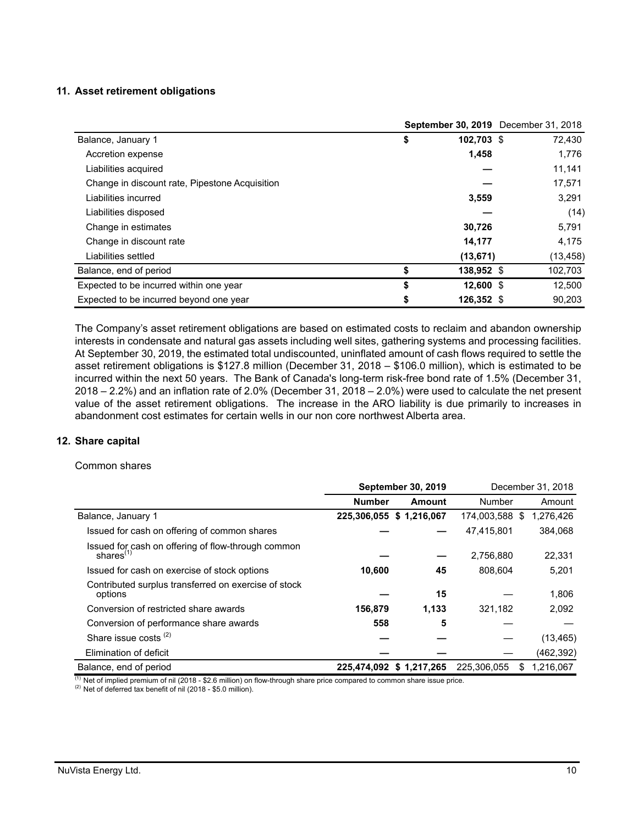## **11. Asset retirement obligations**

|                                                |                  | September 30, 2019 December 31, 2018 |
|------------------------------------------------|------------------|--------------------------------------|
| Balance, January 1                             | \$<br>102,703 \$ | 72,430                               |
| Accretion expense                              | 1,458            | 1,776                                |
| Liabilities acquired                           |                  | 11,141                               |
| Change in discount rate, Pipestone Acquisition |                  | 17,571                               |
| Liabilities incurred                           | 3,559            | 3,291                                |
| Liabilities disposed                           |                  | (14)                                 |
| Change in estimates                            | 30,726           | 5,791                                |
| Change in discount rate                        | 14,177           | 4.175                                |
| Liabilities settled                            | (13, 671)        | (13, 458)                            |
| Balance, end of period                         | \$<br>138,952 \$ | 102,703                              |
| Expected to be incurred within one year        | \$<br>12,600 \$  | 12,500                               |
| Expected to be incurred beyond one year        | \$<br>126.352 \$ | 90.203                               |

The Company's asset retirement obligations are based on estimated costs to reclaim and abandon ownership interests in condensate and natural gas assets including well sites, gathering systems and processing facilities. At September 30, 2019, the estimated total undiscounted, uninflated amount of cash flows required to settle the asset retirement obligations is \$127.8 million (December 31, 2018 – \$106.0 million), which is estimated to be incurred within the next 50 years. The Bank of Canada's long-term risk-free bond rate of 1.5% (December 31, 2018 – 2.2%) and an inflation rate of 2.0% (December 31, 2018 – 2.0%) were used to calculate the net present value of the asset retirement obligations. The increase in the ARO liability is due primarily to increases in abandonment cost estimates for certain wells in our non core northwest Alberta area.

#### **12. Share capital**

#### Common shares

|                                                                    | <b>September 30, 2019</b> |                          |                | December 31, 2018 |
|--------------------------------------------------------------------|---------------------------|--------------------------|----------------|-------------------|
|                                                                    | <b>Number</b>             | Amount                   | Number         | Amount            |
| Balance, January 1                                                 | 225,306,055 \$ 1,216,067  |                          | 174,003,588 \$ | 1,276,426         |
| Issued for cash on offering of common shares                       |                           |                          | 47,415,801     | 384,068           |
| Issued for cash on offering of flow-through common<br>shares $(1)$ |                           |                          | 2,756,880      | 22,331            |
| Issued for cash on exercise of stock options                       | 10,600                    | 45                       | 808.604        | 5,201             |
| Contributed surplus transferred on exercise of stock<br>options    |                           | 15                       |                | 1.806             |
| Conversion of restricted share awards                              | 156,879                   | 1,133                    | 321,182        | 2,092             |
| Conversion of performance share awards                             | 558                       | 5                        |                |                   |
| Share issue costs $(2)$                                            |                           |                          |                | (13, 465)         |
| Elimination of deficit                                             |                           |                          |                | (462, 392)        |
| Balance, end of period                                             |                           | 225,474,092 \$ 1,217,265 | 225.306.055    | 1.216.067<br>\$   |

 $(1)$  Net of implied premium of nil (2018 - \$2.6 million) on flow-through share price compared to common share issue price.

(2) Net of deferred tax benefit of nil (2018 - \$5.0 million).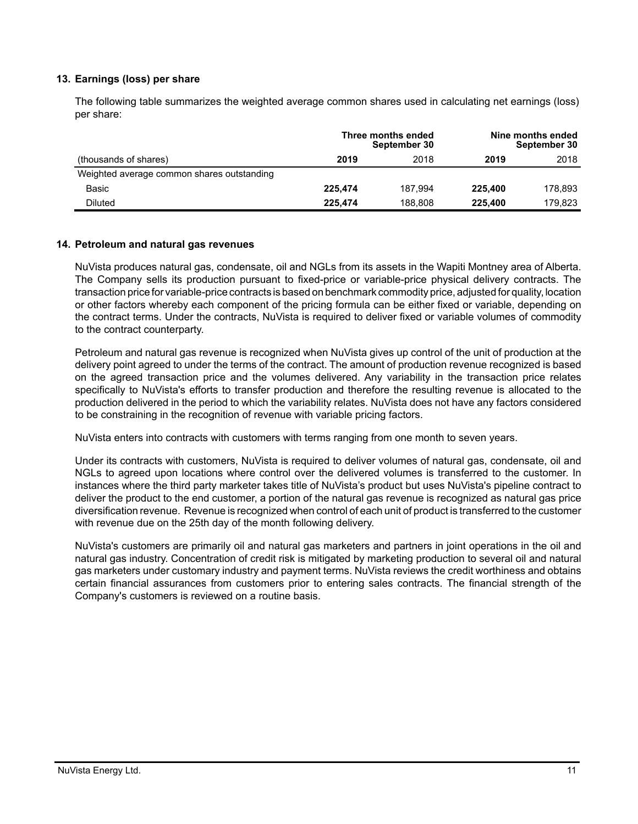## **13. Earnings (loss) per share**

The following table summarizes the weighted average common shares used in calculating net earnings (loss) per share:

|                                            |         | Three months ended<br>September 30 | Nine months ended<br>September 30 |         |  |  |
|--------------------------------------------|---------|------------------------------------|-----------------------------------|---------|--|--|
| (thousands of shares)                      | 2019    | 2018                               | 2019                              | 2018    |  |  |
| Weighted average common shares outstanding |         |                                    |                                   |         |  |  |
| Basic                                      | 225.474 | 187.994                            | 225.400                           | 178.893 |  |  |
| Diluted                                    | 225.474 | 188.808                            | 225.400                           | 179.823 |  |  |

#### **14. Petroleum and natural gas revenues**

NuVista produces natural gas, condensate, oil and NGLs from its assets in the Wapiti Montney area of Alberta. The Company sells its production pursuant to fixed-price or variable-price physical delivery contracts. The transaction price for variable-price contracts is based on benchmark commodity price, adjusted for quality, location or other factors whereby each component of the pricing formula can be either fixed or variable, depending on the contract terms. Under the contracts, NuVista is required to deliver fixed or variable volumes of commodity to the contract counterparty.

Petroleum and natural gas revenue is recognized when NuVista gives up control of the unit of production at the delivery point agreed to under the terms of the contract. The amount of production revenue recognized is based on the agreed transaction price and the volumes delivered. Any variability in the transaction price relates specifically to NuVista's efforts to transfer production and therefore the resulting revenue is allocated to the production delivered in the period to which the variability relates. NuVista does not have any factors considered to be constraining in the recognition of revenue with variable pricing factors.

NuVista enters into contracts with customers with terms ranging from one month to seven years.

Under its contracts with customers, NuVista is required to deliver volumes of natural gas, condensate, oil and NGLs to agreed upon locations where control over the delivered volumes is transferred to the customer. In instances where the third party marketer takes title of NuVista's product but uses NuVista's pipeline contract to deliver the product to the end customer, a portion of the natural gas revenue is recognized as natural gas price diversification revenue. Revenue is recognized when control of each unit of product is transferred to the customer with revenue due on the 25th day of the month following delivery.

NuVista's customers are primarily oil and natural gas marketers and partners in joint operations in the oil and natural gas industry. Concentration of credit risk is mitigated by marketing production to several oil and natural gas marketers under customary industry and payment terms. NuVista reviews the credit worthiness and obtains certain financial assurances from customers prior to entering sales contracts. The financial strength of the Company's customers is reviewed on a routine basis.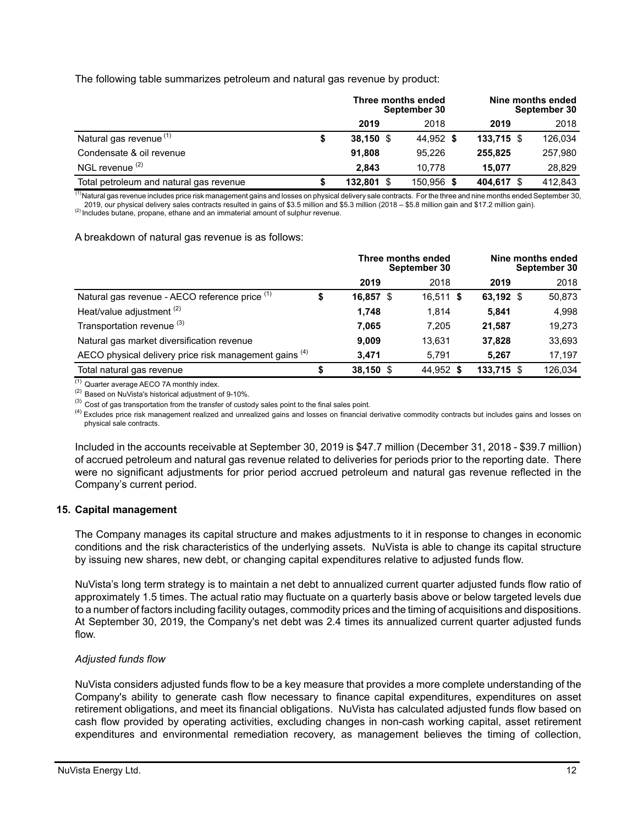The following table summarizes petroleum and natural gas revenue by product:

|                                         | Three months ended<br>September 30 |            | Nine months ended |  | September 30 |
|-----------------------------------------|------------------------------------|------------|-------------------|--|--------------|
|                                         | 2019                               | 2018       | 2019              |  | 2018         |
| Natural gas revenue <sup>(1)</sup>      | $38,150$ \$                        | 44.952 \$  | $133,715$ \$      |  | 126,034      |
| Condensate & oil revenue                | 91.808                             | 95.226     | 255,825           |  | 257,980      |
| NGL revenue <sup>(2)</sup>              | 2.843                              | 10.778     | 15.077            |  | 28.829       |
| Total petroleum and natural gas revenue | 132.801 \$                         | 150.956 \$ | 404,617 \$        |  | 412,843      |

(1) Natural gas revenue includes price risk management gains and losses on physical delivery sale contracts. For the three and nine months ended September 30, 2019, our physical delivery sales contracts resulted in gains of \$3.5 million and \$5.3 million (2018 – \$5.8 million gain and \$17.2 million gain).

<sup>(2)</sup> Includes butane, propane, ethane and an immaterial amount of sulphur revenue.

A breakdown of natural gas revenue is as follows:

|                                                        |    | Three months ended<br>September 30 |             | Nine months ended |              | September 30 |
|--------------------------------------------------------|----|------------------------------------|-------------|-------------------|--------------|--------------|
|                                                        |    | 2019                               | 2018        |                   | 2019         | 2018         |
| Natural gas revenue - AECO reference price (1)         | \$ | 16,857 \$                          | $16,511$ \$ |                   | 63,192 $$$   | 50,873       |
| Heat/value adjustment <sup>(2)</sup>                   |    | 1.748                              | 1.814       |                   | 5,841        | 4,998        |
| Transportation revenue (3)                             |    | 7.065                              | 7.205       |                   | 21,587       | 19,273       |
| Natural gas market diversification revenue             |    | 9.009                              | 13.631      |                   | 37,828       | 33,693       |
| AECO physical delivery price risk management gains (4) |    | 3.471                              | 5.791       |                   | 5.267        | 17,197       |
| Total natural gas revenue                              | S  | 38,150 \$                          | 44,952 \$   |                   | $133,715$ \$ | 126,034      |

(1) Quarter average AECO 7A monthly index.

(2) Based on NuVista's historical adjustment of 9-10%.

 $^{(3)}$  Cost of gas transportation from the transfer of custody sales point to the final sales point.

<sup>(4)</sup> Excludes price risk management realized and unrealized gains and losses on financial derivative commodity contracts but includes gains and losses on physical sale contracts.

Included in the accounts receivable at September 30, 2019 is \$47.7 million (December 31, 2018 - \$39.7 million) of accrued petroleum and natural gas revenue related to deliveries for periods prior to the reporting date. There were no significant adjustments for prior period accrued petroleum and natural gas revenue reflected in the Company's current period.

## **15. Capital management**

The Company manages its capital structure and makes adjustments to it in response to changes in economic conditions and the risk characteristics of the underlying assets. NuVista is able to change its capital structure by issuing new shares, new debt, or changing capital expenditures relative to adjusted funds flow.

NuVista's long term strategy is to maintain a net debt to annualized current quarter adjusted funds flow ratio of approximately 1.5 times. The actual ratio may fluctuate on a quarterly basis above or below targeted levels due to a number of factors including facility outages, commodity prices and the timing of acquisitions and dispositions. At September 30, 2019, the Company's net debt was 2.4 times its annualized current quarter adjusted funds flow.

## *Adjusted funds flow*

NuVista considers adjusted funds flow to be a key measure that provides a more complete understanding of the Company's ability to generate cash flow necessary to finance capital expenditures, expenditures on asset retirement obligations, and meet its financial obligations. NuVista has calculated adjusted funds flow based on cash flow provided by operating activities, excluding changes in non-cash working capital, asset retirement expenditures and environmental remediation recovery, as management believes the timing of collection,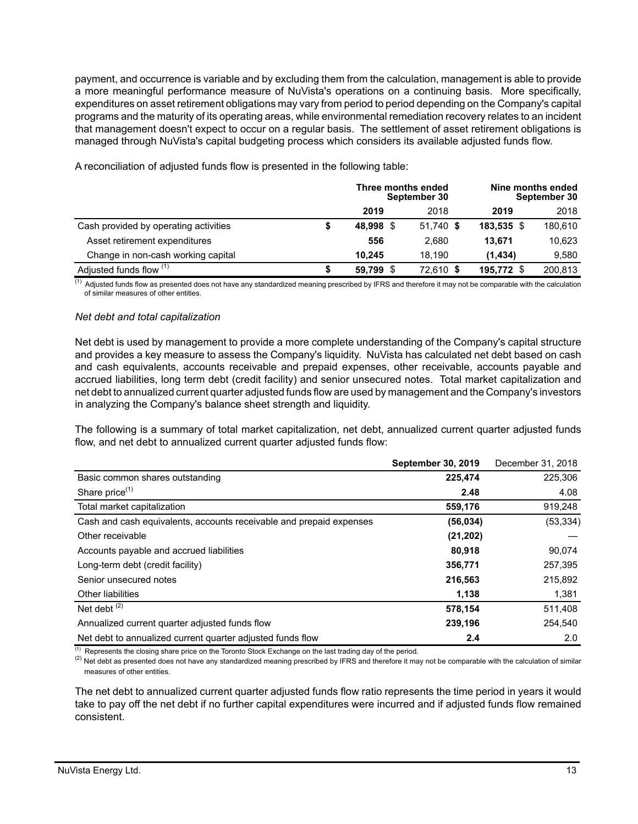payment, and occurrence is variable and by excluding them from the calculation, management is able to provide a more meaningful performance measure of NuVista's operations on a continuing basis. More specifically, expenditures on asset retirement obligations may vary from period to period depending on the Company's capital programs and the maturity of its operating areas, while environmental remediation recovery relates to an incident that management doesn't expect to occur on a regular basis. The settlement of asset retirement obligations is managed through NuVista's capital budgeting process which considers its available adjusted funds flow.

|                                       | Three months ended | September 30 |              | Nine months ended<br>September 30 |
|---------------------------------------|--------------------|--------------|--------------|-----------------------------------|
|                                       | 2019               | 2018         | 2019         | 2018                              |
| Cash provided by operating activities | 48,998<br>-\$      | 51,740 \$    | $183,535$ \$ | 180,610                           |
| Asset retirement expenditures         | 556                | 2.680        | 13.671       | 10,623                            |
| Change in non-cash working capital    | 10.245             | 18.190       | (1, 434)     | 9.580                             |
| Adjusted funds flow (1)               | 59.799             | 72,610 \$    | 195,772 \$   | 200.813                           |

A reconciliation of adjusted funds flow is presented in the following table:

 $\frac{(1)}{(1)}$  Adjusted funds flow as presented does not have any standardized meaning prescribed by IFRS and therefore it may not be comparable with the calculation of similar measures of other entities.

#### *Net debt and total capitalization*

Net debt is used by management to provide a more complete understanding of the Company's capital structure and provides a key measure to assess the Company's liquidity. NuVista has calculated net debt based on cash and cash equivalents, accounts receivable and prepaid expenses, other receivable, accounts payable and accrued liabilities, long term debt (credit facility) and senior unsecured notes. Total market capitalization and net debt to annualized current quarter adjusted funds flow are used by management and the Company's investors in analyzing the Company's balance sheet strength and liquidity.

The following is a summary of total market capitalization, net debt, annualized current quarter adjusted funds flow, and net debt to annualized current quarter adjusted funds flow:

|                                                                     | <b>September 30, 2019</b> | December 31, 2018 |
|---------------------------------------------------------------------|---------------------------|-------------------|
| Basic common shares outstanding                                     | 225,474                   | 225,306           |
| Share price <sup>(1)</sup>                                          | 2.48                      | 4.08              |
| Total market capitalization                                         | 559,176                   | 919,248           |
| Cash and cash equivalents, accounts receivable and prepaid expenses | (56, 034)                 | (53, 334)         |
| Other receivable                                                    | (21, 202)                 |                   |
| Accounts payable and accrued liabilities                            | 80,918                    | 90,074            |
| Long-term debt (credit facility)                                    | 356,771                   | 257,395           |
| Senior unsecured notes                                              | 216,563                   | 215,892           |
| <b>Other liabilities</b>                                            | 1,138                     | 1,381             |
| Net debt $(2)$                                                      | 578,154                   | 511,408           |
| Annualized current quarter adjusted funds flow                      | 239,196                   | 254,540           |
| Net debt to annualized current quarter adjusted funds flow          | 2.4                       | 2.0               |

(1) Represents the closing share price on the Toronto Stock Exchange on the last trading day of the period.

 $^{(2)}$  Net debt as presented does not have any standardized meaning prescribed by IFRS and therefore it may not be comparable with the calculation of similar measures of other entities.

The net debt to annualized current quarter adjusted funds flow ratio represents the time period in years it would take to pay off the net debt if no further capital expenditures were incurred and if adjusted funds flow remained consistent.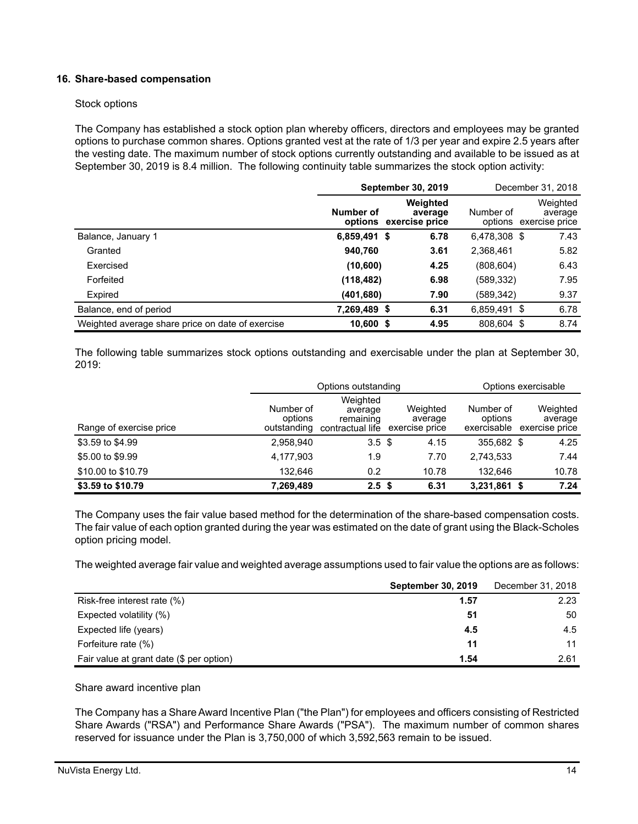## **16. Share-based compensation**

#### Stock options

The Company has established a stock option plan whereby officers, directors and employees may be granted options to purchase common shares. Options granted vest at the rate of 1/3 per year and expire 2.5 years after the vesting date. The maximum number of stock options currently outstanding and available to be issued as at September 30, 2019 is 8.4 million. The following continuity table summarizes the stock option activity:

|                                                  | <b>September 30, 2019</b> |                                               |              | December 31, 2018                             |
|--------------------------------------------------|---------------------------|-----------------------------------------------|--------------|-----------------------------------------------|
|                                                  | Number of                 | Weighted<br>average<br>options exercise price | Number of    | Weighted<br>average<br>options exercise price |
| Balance, January 1                               | 6,859,491 \$              | 6.78                                          | 6,478,308 \$ | 7.43                                          |
| Granted                                          | 940,760                   | 3.61                                          | 2,368,461    | 5.82                                          |
| Exercised                                        | (10,600)                  | 4.25                                          | (808, 604)   | 6.43                                          |
| Forfeited                                        | (118, 482)                | 6.98                                          | (589,332)    | 7.95                                          |
| Expired                                          | (401, 680)                | 7.90                                          | (589,342)    | 9.37                                          |
| Balance, end of period                           | 7,269,489 \$              | 6.31                                          | 6,859,491 \$ | 6.78                                          |
| Weighted average share price on date of exercise | $10,600$ \$               | 4.95                                          | 808.604 \$   | 8.74                                          |

The following table summarizes stock options outstanding and exercisable under the plan at September 30, 2019:

|                         |                                     | Options outstanding                                  |                                       |                                     | Options exercisable                   |
|-------------------------|-------------------------------------|------------------------------------------------------|---------------------------------------|-------------------------------------|---------------------------------------|
| Range of exercise price | Number of<br>options<br>outstanding | Weighted<br>average<br>remaining<br>contractual life | Weighted<br>average<br>exercise price | Number of<br>options<br>exercisable | Weighted<br>average<br>exercise price |
| \$3.59 to \$4.99        | 2,958,940                           | 3.5 <sup>3</sup>                                     | 4.15                                  | 355.682 \$                          | 4.25                                  |
| \$5,00 to \$9.99        | 4,177,903                           | 1.9                                                  | 7.70                                  | 2,743,533                           | 7.44                                  |
| \$10.00 to \$10.79      | 132.646                             | 0.2                                                  | 10.78                                 | 132.646                             | 10.78                                 |
| \$3.59 to \$10.79       | 7,269,489                           | 2.5 <sup>5</sup>                                     | 6.31                                  | 3,231,861 \$                        | 7.24                                  |

The Company uses the fair value based method for the determination of the share-based compensation costs. The fair value of each option granted during the year was estimated on the date of grant using the Black-Scholes option pricing model.

The weighted average fair value and weighted average assumptions used to fair value the options are as follows:

|                                          | <b>September 30, 2019</b> | December 31, 2018 |
|------------------------------------------|---------------------------|-------------------|
| Risk-free interest rate (%)              | 1.57                      | 2.23              |
| Expected volatility (%)                  | 51                        | 50                |
| Expected life (years)                    | 4.5                       | 4.5               |
| Forfeiture rate (%)                      | 11                        | 11                |
| Fair value at grant date (\$ per option) | 1.54                      | 2.61              |

Share award incentive plan

The Company has a Share Award Incentive Plan ("the Plan") for employees and officers consisting of Restricted Share Awards ("RSA") and Performance Share Awards ("PSA"). The maximum number of common shares reserved for issuance under the Plan is 3,750,000 of which 3,592,563 remain to be issued.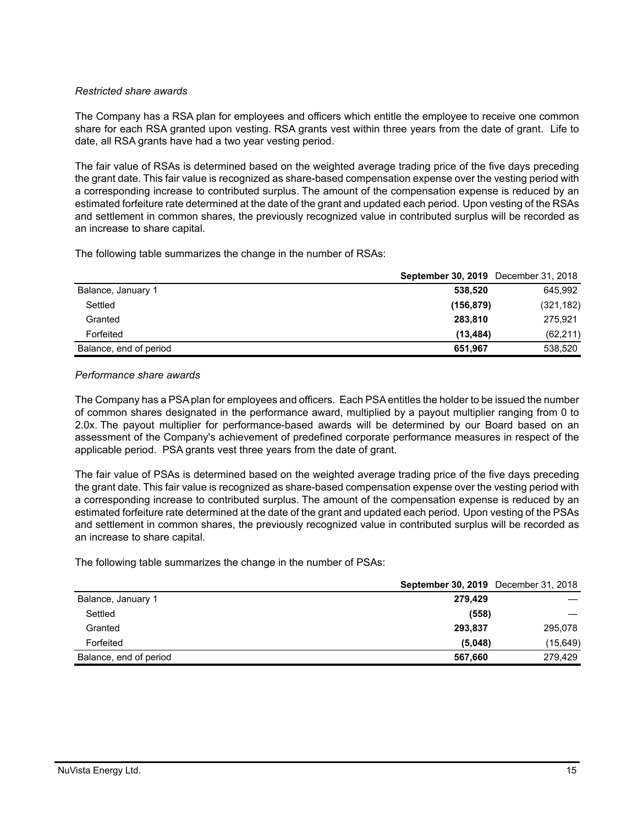## *Restricted share awards*

The Company has a RSA plan for employees and officers which entitle the employee to receive one common share for each RSA granted upon vesting. RSA grants vest within three years from the date of grant. Life to date, all RSA grants have had a two year vesting period.

The fair value of RSAs is determined based on the weighted average trading price of the five days preceding the grant date. This fair value is recognized as share-based compensation expense over the vesting period with a corresponding increase to contributed surplus. The amount of the compensation expense is reduced by an estimated forfeiture rate determined at the date of the grant and updated each period. Upon vesting of the RSAs and settlement in common shares, the previously recognized value in contributed surplus will be recorded as an increase to share capital.

The following table summarizes the change in the number of RSAs:

|                        | <b>September 30, 2019</b> December 31, 2018 |
|------------------------|---------------------------------------------|
| Balance, January 1     | 645.992<br>538.520                          |
| Settled                | (321, 182)<br>(156, 879)                    |
| Granted                | 283.810<br>275.921                          |
| Forfeited              | (62, 211)<br>(13.484)                       |
| Balance, end of period | 538,520<br>651.967                          |

#### *Performance share awards*

The Company has a PSA plan for employees and officers. Each PSA entitles the holder to be issued the number of common shares designated in the performance award, multiplied by a payout multiplier ranging from 0 to 2.0x. The payout multiplier for performance-based awards will be determined by our Board based on an assessment of the Company's achievement of predefined corporate performance measures in respect of the applicable period. PSA grants vest three years from the date of grant.

The fair value of PSAs is determined based on the weighted average trading price of the five days preceding the grant date. This fair value is recognized as share-based compensation expense over the vesting period with a corresponding increase to contributed surplus. The amount of the compensation expense is reduced by an estimated forfeiture rate determined at the date of the grant and updated each period. Upon vesting of the PSAs and settlement in common shares, the previously recognized value in contributed surplus will be recorded as an increase to share capital.

The following table summarizes the change in the number of PSAs:

|                        | <b>September 30, 2019</b> December 31, 2018 |           |
|------------------------|---------------------------------------------|-----------|
| Balance, January 1     | 279,429                                     |           |
| Settled                | (558)                                       |           |
| Granted                | 293.837                                     | 295,078   |
| Forfeited              | (5,048)                                     | (15, 649) |
| Balance, end of period | 567,660                                     | 279.429   |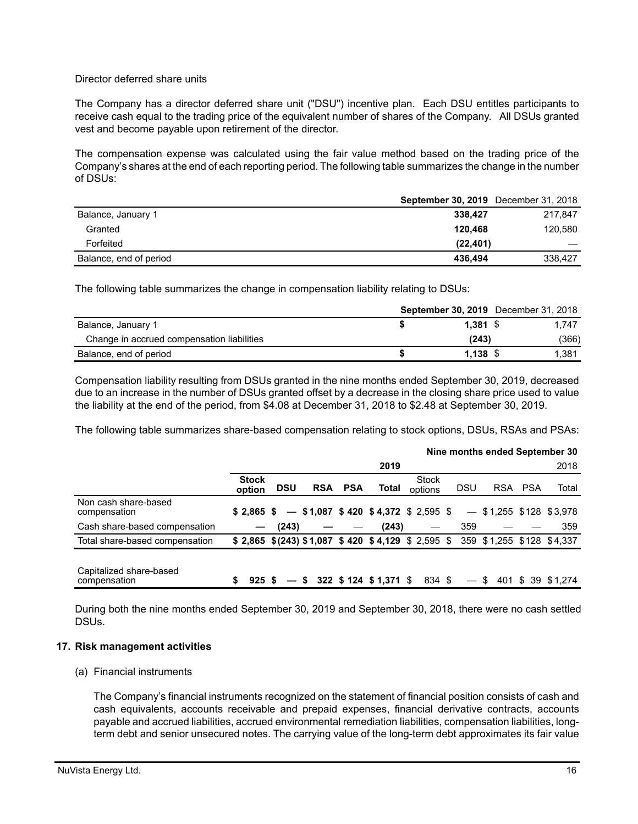#### Director deferred share units

The Company has a director deferred share unit ("DSU") incentive plan. Each DSU entitles participants to receive cash equal to the trading price of the equivalent number of shares of the Company. All DSUs granted vest and become payable upon retirement of the director.

The compensation expense was calculated using the fair value method based on the trading price of the Company's shares at the end of each reporting period. The following table summarizes the change in the number of DSUs:

|                        | <b>September 30, 2019</b> December 31, 2018 |         |
|------------------------|---------------------------------------------|---------|
| Balance, January 1     | 338.427                                     | 217.847 |
| Granted                | 120.468                                     | 120,580 |
| Forfeited              | (22, 401)                                   |         |
| Balance, end of period | 436.494                                     | 338,427 |

The following table summarizes the change in compensation liability relating to DSUs:

|                                            |            | <b>September 30, 2019</b> December 31, 2018 |       |
|--------------------------------------------|------------|---------------------------------------------|-------|
| Balance, January 1                         | $1.381$ \$ |                                             | 1.747 |
| Change in accrued compensation liabilities | (243)      |                                             | (366) |
| Balance, end of period                     | $1.138$ \$ |                                             | 1.381 |

Compensation liability resulting from DSUs granted in the nine months ended September 30, 2019, decreased due to an increase in the number of DSUs granted offset by a decrease in the closing share price used to value the liability at the end of the period, from \$4.08 at December 31, 2018 to \$2.48 at September 30, 2019.

The following table summarizes share-based compensation relating to stock options, DSUs, RSAs and PSAs:

|                                         |                        |            |                |                                                                                     |                  |            | Nine months ended September 30 |         |       |
|-----------------------------------------|------------------------|------------|----------------|-------------------------------------------------------------------------------------|------------------|------------|--------------------------------|---------|-------|
|                                         |                        |            |                | 2019                                                                                |                  |            |                                |         | 2018  |
|                                         | <b>Stock</b><br>option | <b>DSU</b> | <b>RSA PSA</b> | Total                                                                               | Stock<br>options | <b>DSU</b> |                                | RSA PSA | Total |
| Non cash share-based<br>compensation    |                        |            |                | $$2,865$ $$$ $ $1,087$ $$420$ $$4,372$ $$2,595$ $$$                                 |                  |            | $-$ \$1,255 \$128 \$3,978      |         |       |
| Cash share-based compensation           |                        | (243)      |                | (243)                                                                               |                  | 359        |                                |         | 359   |
| Total share-based compensation          |                        |            |                | $$2,865$ $$(243)$ $$1,087$ $$420$ $$4,129$ $$2,595$ $$359$ $$1,255$ $$128$ $$4,337$ |                  |            |                                |         |       |
| Capitalized share-based<br>compensation |                        |            |                | $925$ \$ - \$ 322 \$124 \$1,371 \$ 834 \$                                           |                  |            | $-$ \$ 401 \$ 39 \$1,274       |         |       |

During both the nine months ended September 30, 2019 and September 30, 2018, there were no cash settled DSUs.

#### **17. Risk management activities**

#### (a) Financial instruments

The Company's financial instruments recognized on the statement of financial position consists of cash and cash equivalents, accounts receivable and prepaid expenses, financial derivative contracts, accounts payable and accrued liabilities, accrued environmental remediation liabilities, compensation liabilities, longterm debt and senior unsecured notes. The carrying value of the long-term debt approximates its fair value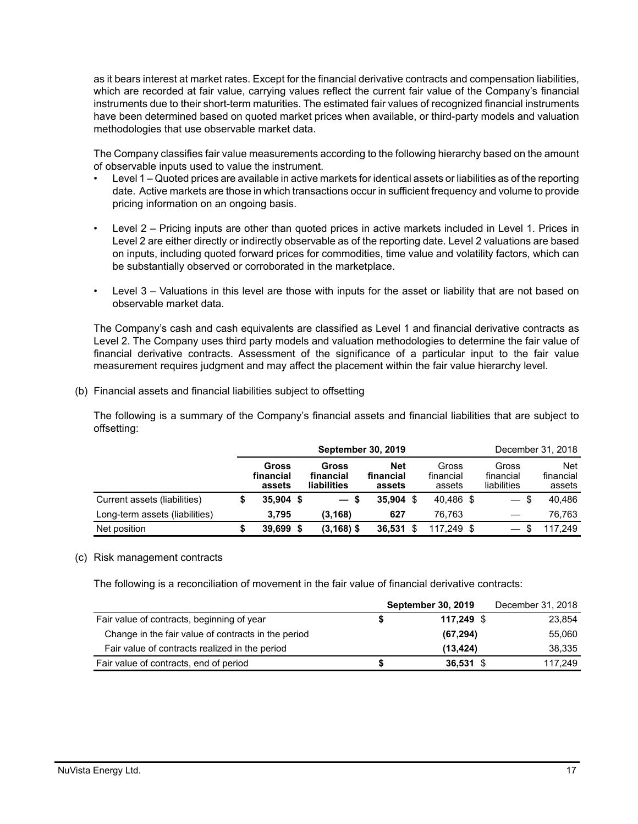as it bears interest at market rates. Except for the financial derivative contracts and compensation liabilities, which are recorded at fair value, carrying values reflect the current fair value of the Company's financial instruments due to their short-term maturities. The estimated fair values of recognized financial instruments have been determined based on quoted market prices when available, or third-party models and valuation methodologies that use observable market data.

The Company classifies fair value measurements according to the following hierarchy based on the amount of observable inputs used to value the instrument.

- Level 1 Quoted prices are available in active markets for identical assets or liabilities as of the reporting date. Active markets are those in which transactions occur in sufficient frequency and volume to provide pricing information on an ongoing basis.
- Level 2 Pricing inputs are other than quoted prices in active markets included in Level 1. Prices in Level 2 are either directly or indirectly observable as of the reporting date. Level 2 valuations are based on inputs, including quoted forward prices for commodities, time value and volatility factors, which can be substantially observed or corroborated in the marketplace.
- Level 3 Valuations in this level are those with inputs for the asset or liability that are not based on observable market data.

The Company's cash and cash equivalents are classified as Level 1 and financial derivative contracts as Level 2. The Company uses third party models and valuation methodologies to determine the fair value of financial derivative contracts. Assessment of the significance of a particular input to the fair value measurement requires judgment and may affect the placement within the fair value hierarchy level.

(b) Financial assets and financial liabilities subject to offsetting

The following is a summary of the Company's financial assets and financial liabilities that are subject to offsetting:

|                                | <b>September 30, 2019</b> |                              |      |                                          |                            |  |                              | December 31, 2018                 |  |                                   |
|--------------------------------|---------------------------|------------------------------|------|------------------------------------------|----------------------------|--|------------------------------|-----------------------------------|--|-----------------------------------|
|                                |                           | Gross<br>financial<br>assets |      | Gross<br>financial<br><b>liabilities</b> | Net<br>financial<br>assets |  | Gross<br>financial<br>assets | Gross<br>financial<br>liabilities |  | <b>Net</b><br>financial<br>assets |
| Current assets (liabilities)   |                           | $35,904$ \$                  |      | $-s$                                     | $35.904$ \$                |  | 40.486 \$                    | $-$ \$                            |  | 40.486                            |
| Long-term assets (liabilities) |                           | 3.795                        |      | (3, 168)                                 | 627                        |  | 76.763                       |                                   |  | 76.763                            |
| Net position                   |                           | 39.699                       | - \$ | $(3, 168)$ \$                            | 36,531                     |  | 117.249 \$                   |                                   |  | 117.249                           |

#### (c) Risk management contracts

The following is a reconciliation of movement in the fair value of financial derivative contracts:

|                                                     |   | <b>September 30, 2019</b> | December 31, 2018 |
|-----------------------------------------------------|---|---------------------------|-------------------|
| Fair value of contracts, beginning of year          | Ъ | 117.249 \$                | 23,854            |
| Change in the fair value of contracts in the period |   | (67, 294)                 | 55,060            |
| Fair value of contracts realized in the period      |   | (13, 424)                 | 38.335            |
| Fair value of contracts, end of period              | S | $36.531$ \$               | 117.249           |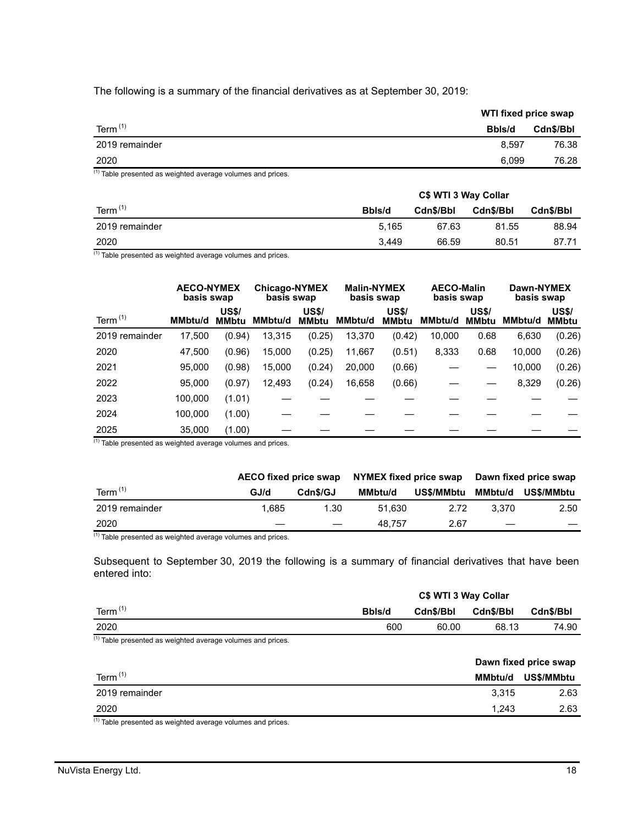The following is a summary of the financial derivatives as at September 30, 2019:

|                              | WTI fixed price swap |           |
|------------------------------|----------------------|-----------|
| Term $(1)$                   | Bbls/d               | Cdn\$/Bbl |
| 2019 remainder               | 8.597                | 76.38     |
| 2020                         | 6.099                | 76.28     |
| $(4)$ $\longrightarrow$<br>. |                      |           |

 $(1)$  Table presented as weighted average volumes and prices.

|                | C\$ WTI 3 Way Collar |           |           |           |  |
|----------------|----------------------|-----------|-----------|-----------|--|
| Term $(1)$     | Bbls/d               | Cdn\$/Bbl | Cdn\$/Bbl | Cdn\$/Bbl |  |
| 2019 remainder | 5.165                | 67.63     | 81.55     | 88.94     |  |
| 2020           | 3.449                | 66.59     | 80.51     | 87.71     |  |

(1) Table presented as weighted average volumes and prices.

|                | <b>AECO-NYMEX</b><br>basis swap |                              | <b>Chicago-NYMEX</b><br>basis swap |                              | <b>Malin-NYMEX</b><br>basis swap |                              |                | <b>AECO-Malin</b><br>basis swap |         | Dawn-NYMEX<br>basis swap     |
|----------------|---------------------------------|------------------------------|------------------------------------|------------------------------|----------------------------------|------------------------------|----------------|---------------------------------|---------|------------------------------|
| Term $(1)$     | MMbtu/d                         | <b>US\$/</b><br><b>MMbtu</b> | MMbtu/d                            | <b>US\$/</b><br><b>MMbtu</b> | MMbtu/d                          | <b>US\$/</b><br><b>MMbtu</b> | <b>MMbtu/d</b> | <b>US\$/</b><br><b>MMbtu</b>    | MMbtu/d | <b>US\$/</b><br><b>MMbtu</b> |
| 2019 remainder | 17,500                          | (0.94)                       | 13,315                             | (0.25)                       | 13,370                           | (0.42)                       | 10,000         | 0.68                            | 6,630   | (0.26)                       |
| 2020           | 47,500                          | (0.96)                       | 15,000                             | (0.25)                       | 11,667                           | (0.51)                       | 8,333          | 0.68                            | 10,000  | (0.26)                       |
| 2021           | 95.000                          | (0.98)                       | 15,000                             | (0.24)                       | 20,000                           | (0.66)                       |                |                                 | 10,000  | (0.26)                       |
| 2022           | 95,000                          | (0.97)                       | 12,493                             | (0.24)                       | 16,658                           | (0.66)                       |                |                                 | 8,329   | (0.26)                       |
| 2023           | 100,000                         | (1.01)                       |                                    |                              |                                  |                              |                |                                 |         |                              |
| 2024           | 100,000                         | (1.00)                       |                                    |                              |                                  |                              |                |                                 |         |                              |
| 2025           | 35,000                          | (1.00)                       |                                    |                              |                                  |                              |                |                                 |         |                              |

 $(1)$  Table presented as weighted average volumes and prices.

|                | AECO fixed price swap |          | NYMEX fixed price swap |            | Dawn fixed price swap |            |  |
|----------------|-----------------------|----------|------------------------|------------|-----------------------|------------|--|
| Term $(1)$     | GJ/d                  | Cdn\$/GJ | <b>MMbtu/d</b>         | US\$/MMbtu | MMbtu/d               | US\$/MMbtu |  |
| 2019 remainder | 1.685                 | 1.30     | 51.630                 | 2.72       | 3.370                 | 2.50       |  |
| 2020           |                       |          | 48.757                 | 2.67       |                       |            |  |

 $(1)$  Table presented as weighted average volumes and prices.

Subsequent to September 30, 2019 the following is a summary of financial derivatives that have been entered into:

|                                                               | C\$ WTI 3 Way Collar |           |           |                       |  |
|---------------------------------------------------------------|----------------------|-----------|-----------|-----------------------|--|
| Term $(1)$                                                    | Bbls/d               | Cdn\$/Bbl | Cdn\$/Bbl | Cdn\$/Bbl             |  |
| 2020                                                          | 600                  | 60.00     | 68.13     | 74.90                 |  |
| $(1)$ Table presented as weighted average volumes and prices. |                      |           |           |                       |  |
|                                                               |                      |           |           | Dawn fixed price swap |  |
| Term $(1)$                                                    |                      |           | MMbtu/d   | US\$/MMbtu            |  |
| 2019 remainder                                                |                      |           | 3,315     | 2.63                  |  |
| 2020                                                          |                      |           | 1,243     | 2.63                  |  |
| $143 - 1$                                                     |                      |           |           |                       |  |

 $(1)$  Table presented as weighted average volumes and prices.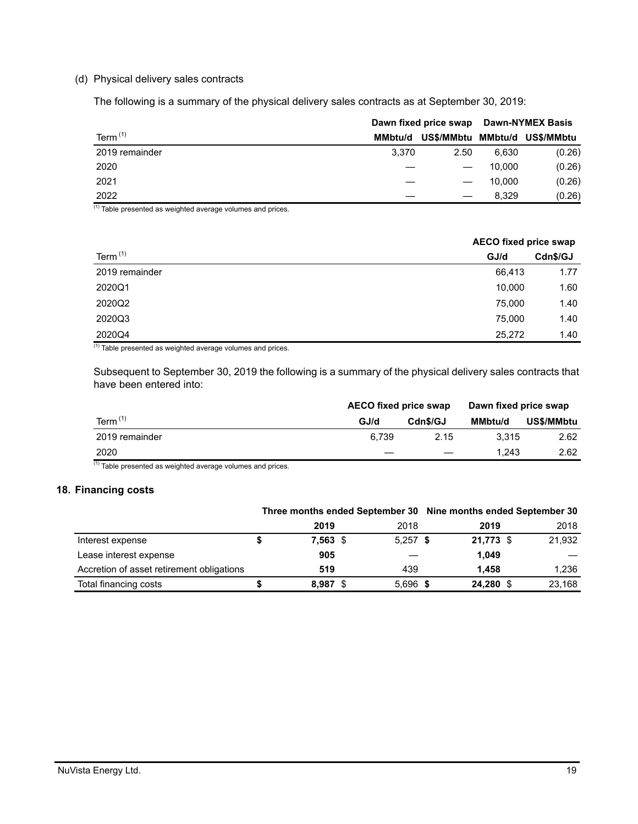## (d) Physical delivery sales contracts

The following is a summary of the physical delivery sales contracts as at September 30, 2019:

|                | Dawn fixed price swap |            |         | <b>Dawn-NYMEX Basis</b> |
|----------------|-----------------------|------------|---------|-------------------------|
| Term $(1)$     | MMbtu/d               | US\$/MMbtu | MMbtu/d | US\$/MMbtu              |
| 2019 remainder | 3.370                 | 2.50       | 6.630   | (0.26)                  |
| 2020           |                       |            | 10.000  | (0.26)                  |
| 2021           |                       |            | 10.000  | (0.26)                  |
| 2022           |                       |            | 8.329   | (0.26)                  |

 $(1)$  Table presented as weighted average volumes and prices.

|                |        | <b>AECO fixed price swap</b> |  |  |
|----------------|--------|------------------------------|--|--|
| Term $(1)$     | GJ/d   | Cdn\$/GJ                     |  |  |
| 2019 remainder | 66,413 | 1.77                         |  |  |
| 2020Q1         | 10,000 | 1.60                         |  |  |
| 2020Q2         | 75,000 | 1.40                         |  |  |
| 2020Q3         | 75,000 | 1.40                         |  |  |
| 2020Q4         | 25,272 | 1.40                         |  |  |

 $(1)$  Table presented as weighted average volumes and prices.

Subsequent to September 30, 2019 the following is a summary of the physical delivery sales contracts that have been entered into:

|                | <b>AECO fixed price swap</b> |          | Dawn fixed price swap |            |  |
|----------------|------------------------------|----------|-----------------------|------------|--|
| Term $(1)$     | GJ/d                         | Cdn\$/GJ | <b>MMbtu/d</b>        | US\$/MMbtu |  |
| 2019 remainder | 6.739                        | 2.15     | 3.315                 | 2.62       |  |
| 2020           |                              |          | 1.243                 | 2.62       |  |

 $(1)$  Table presented as weighted average volumes and prices.

## **18. Financing costs**

|                                           | Three months ended September 30 Nine months ended September 30 |  |            |  |           |  |        |
|-------------------------------------------|----------------------------------------------------------------|--|------------|--|-----------|--|--------|
|                                           | 2019                                                           |  | 2018       |  | 2019      |  | 2018   |
| Interest expense                          | $7,563$ \$                                                     |  | $5,257$ \$ |  | 21,773 \$ |  | 21,932 |
| Lease interest expense                    | 905                                                            |  |            |  | 1.049     |  |        |
| Accretion of asset retirement obligations | 519                                                            |  | 439        |  | 1.458     |  | 1,236  |
| Total financing costs                     | 8,987 \$                                                       |  | $5,696$ \$ |  | 24,280 \$ |  | 23,168 |